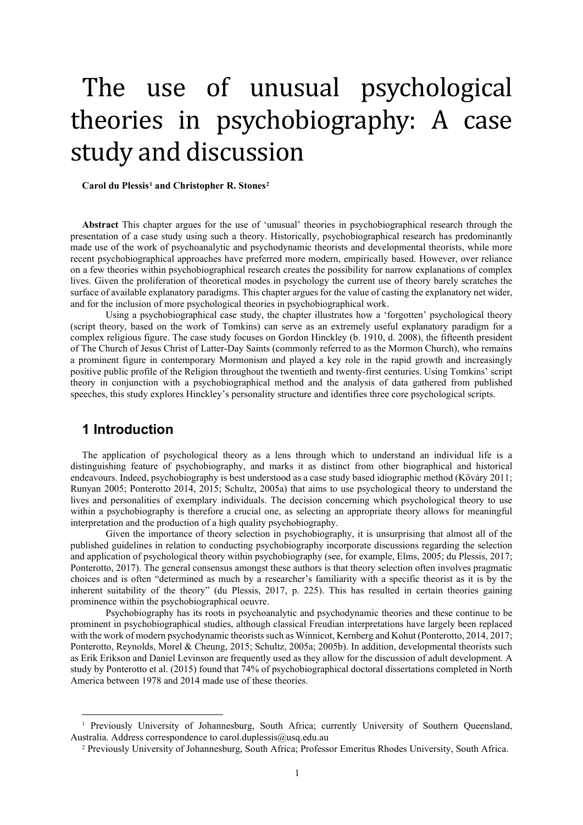# The use of unusual psychological theories in psychobiography: A case study and discussion

**Carol du Plessis[1](#page-0-0) and Christopher R. Stones[2](#page-0-1)**

**Abstract** This chapter argues for the use of 'unusual' theories in psychobiographical research through the presentation of a case study using such a theory. Historically, psychobiographical research has predominantly made use of the work of psychoanalytic and psychodynamic theorists and developmental theorists, while more recent psychobiographical approaches have preferred more modern, empirically based. However, over reliance on a few theories within psychobiographical research creates the possibility for narrow explanations of complex lives. Given the proliferation of theoretical modes in psychology the current use of theory barely scratches the surface of available explanatory paradigms. This chapter argues for the value of casting the explanatory net wider, and for the inclusion of more psychological theories in psychobiographical work.

Using a psychobiographical case study, the chapter illustrates how a 'forgotten' psychological theory (script theory, based on the work of Tomkins) can serve as an extremely useful explanatory paradigm for a complex religious figure. The case study focuses on Gordon Hinckley (b. 1910, d. 2008), the fifteenth president of The Church of Jesus Christ of Latter-Day Saints (commonly referred to as the Mormon Church), who remains a prominent figure in contemporary Mormonism and played a key role in the rapid growth and increasingly positive public profile of the Religion throughout the twentieth and twenty-first centuries. Using Tomkins' script theory in conjunction with a psychobiographical method and the analysis of data gathered from published speeches, this study explores Hinckley's personality structure and identifies three core psychological scripts.

### **1 Introduction**

The application of psychological theory as a lens through which to understand an individual life is a distinguishing feature of psychobiography, and marks it as distinct from other biographical and historical endeavours. Indeed, psychobiography is best understood as a case study based idiographic method (Kőváry 2011; Runyan 2005; Ponterotto 2014, 2015; Schultz, 2005a) that aims to use psychological theory to understand the lives and personalities of exemplary individuals. The decision concerning which psychological theory to use within a psychobiography is therefore a crucial one, as selecting an appropriate theory allows for meaningful interpretation and the production of a high quality psychobiography.

Given the importance of theory selection in psychobiography, it is unsurprising that almost all of the published guidelines in relation to conducting psychobiography incorporate discussions regarding the selection and application of psychological theory within psychobiography (see, for example, Elms, 2005; du Plessis, 2017; Ponterotto, 2017). The general consensus amongst these authors is that theory selection often involves pragmatic choices and is often "determined as much by a researcher's familiarity with a specific theorist as it is by the inherent suitability of the theory" (du Plessis, 2017, p. 225). This has resulted in certain theories gaining prominence within the psychobiographical oeuvre.

Psychobiography has its roots in psychoanalytic and psychodynamic theories and these continue to be prominent in psychobiographical studies, although classical Freudian interpretations have largely been replaced with the work of modern psychodynamic theorists such as Winnicot, Kernberg and Kohut (Ponterotto, 2014, 2017; Ponterotto, Reynolds, Morel & Cheung, 2015; Schultz, 2005a; 2005b). In addition, developmental theorists such as Erik Erikson and Daniel Levinson are frequently used as they allow for the discussion of adult development. A study by Ponterotto et al. (2015) found that 74% of psychobiographical doctoral dissertations completed in North America between 1978 and 2014 made use of these theories.

<span id="page-0-1"></span><span id="page-0-0"></span><sup>&</sup>lt;sup>1</sup> Previously University of Johannesburg, South Africa; currently University of Southern Queensland, Australia. Address correspondence to carol.duplessis@usq.edu.au

<sup>2</sup> Previously University of Johannesburg, South Africa; Professor Emeritus Rhodes University, South Africa.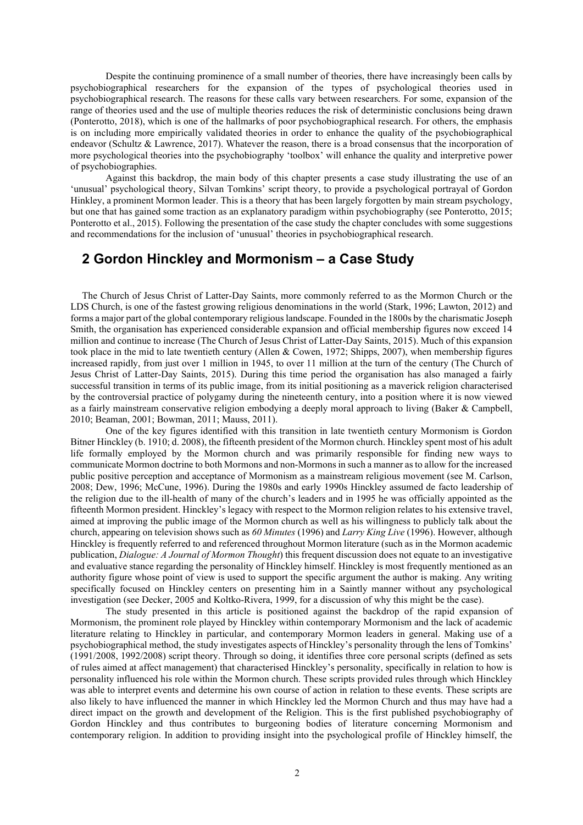Despite the continuing prominence of a small number of theories, there have increasingly been calls by psychobiographical researchers for the expansion of the types of psychological theories used in psychobiographical research. The reasons for these calls vary between researchers. For some, expansion of the range of theories used and the use of multiple theories reduces the risk of deterministic conclusions being drawn (Ponterotto, 2018), which is one of the hallmarks of poor psychobiographical research. For others, the emphasis is on including more empirically validated theories in order to enhance the quality of the psychobiographical endeavor (Schultz & Lawrence, 2017). Whatever the reason, there is a broad consensus that the incorporation of more psychological theories into the psychobiography 'toolbox' will enhance the quality and interpretive power of psychobiographies.

Against this backdrop, the main body of this chapter presents a case study illustrating the use of an 'unusual' psychological theory, Silvan Tomkins' script theory, to provide a psychological portrayal of Gordon Hinkley, a prominent Mormon leader. This is a theory that has been largely forgotten by main stream psychology, but one that has gained some traction as an explanatory paradigm within psychobiography (see Ponterotto, 2015; Ponterotto et al., 2015). Following the presentation of the case study the chapter concludes with some suggestions and recommendations for the inclusion of 'unusual' theories in psychobiographical research.

## **2 Gordon Hinckley and Mormonism – a Case Study**

The Church of Jesus Christ of Latter-Day Saints, more commonly referred to as the Mormon Church or the LDS Church, is one of the fastest growing religious denominations in the world (Stark, 1996; Lawton, 2012) and forms a major part of the global contemporary religious landscape. Founded in the 1800s by the charismatic Joseph Smith, the organisation has experienced considerable expansion and official membership figures now exceed 14 million and continue to increase (The Church of Jesus Christ of Latter-Day Saints, 2015). Much of this expansion took place in the mid to late twentieth century (Allen & Cowen, 1972; Shipps, 2007), when membership figures increased rapidly, from just over 1 million in 1945, to over 11 million at the turn of the century (The Church of Jesus Christ of Latter-Day Saints, 2015). During this time period the organisation has also managed a fairly successful transition in terms of its public image, from its initial positioning as a maverick religion characterised by the controversial practice of polygamy during the nineteenth century, into a position where it is now viewed as a fairly mainstream conservative religion embodying a deeply moral approach to living (Baker & Campbell, 2010; Beaman, 2001; Bowman, 2011; Mauss, 2011).

One of the key figures identified with this transition in late twentieth century Mormonism is Gordon Bitner Hinckley (b. 1910; d. 2008), the fifteenth president of the Mormon church. Hinckley spent most of his adult life formally employed by the Mormon church and was primarily responsible for finding new ways to communicate Mormon doctrine to both Mormons and non-Mormons in such a manner as to allow for the increased public positive perception and acceptance of Mormonism as a mainstream religious movement (see M. Carlson, 2008; Dew, 1996; McCune, 1996). During the 1980s and early 1990s Hinckley assumed de facto leadership of the religion due to the ill-health of many of the church's leaders and in 1995 he was officially appointed as the fifteenth Mormon president. Hinckley's legacy with respect to the Mormon religion relates to his extensive travel, aimed at improving the public image of the Mormon church as well as his willingness to publicly talk about the church, appearing on television shows such as *60 Minutes* (1996) and *Larry King Live* (1996). However, although Hinckley is frequently referred to and referenced throughout Mormon literature (such as in the Mormon academic publication, *Dialogue: A Journal of Mormon Thought*) this frequent discussion does not equate to an investigative and evaluative stance regarding the personality of Hinckley himself. Hinckley is most frequently mentioned as an authority figure whose point of view is used to support the specific argument the author is making. Any writing specifically focused on Hinckley centers on presenting him in a Saintly manner without any psychological investigation (see Decker, 2005 and Koltko-Rivera, 1999, for a discussion of why this might be the case).

The study presented in this article is positioned against the backdrop of the rapid expansion of Mormonism, the prominent role played by Hinckley within contemporary Mormonism and the lack of academic literature relating to Hinckley in particular, and contemporary Mormon leaders in general. Making use of a psychobiographical method, the study investigates aspects of Hinckley's personality through the lens of Tomkins' (1991/2008, 1992/2008) script theory. Through so doing, it identifies three core personal scripts (defined as sets of rules aimed at affect management) that characterised Hinckley's personality, specifically in relation to how is personality influenced his role within the Mormon church. These scripts provided rules through which Hinckley was able to interpret events and determine his own course of action in relation to these events. These scripts are also likely to have influenced the manner in which Hinckley led the Mormon Church and thus may have had a direct impact on the growth and development of the Religion. This is the first published psychobiography of Gordon Hinckley and thus contributes to burgeoning bodies of literature concerning Mormonism and contemporary religion. In addition to providing insight into the psychological profile of Hinckley himself, the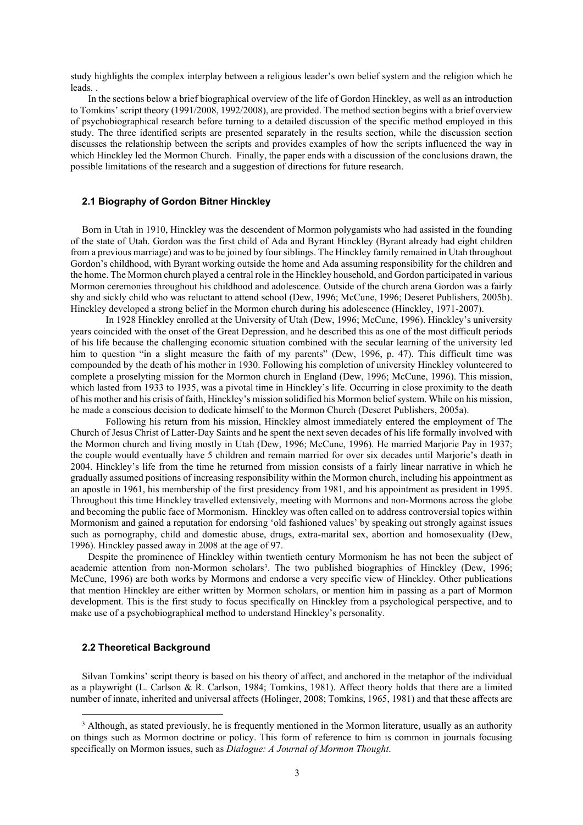study highlights the complex interplay between a religious leader's own belief system and the religion which he leads. .

In the sections below a brief biographical overview of the life of Gordon Hinckley, as well as an introduction to Tomkins' script theory (1991/2008, 1992/2008), are provided. The method section begins with a brief overview of psychobiographical research before turning to a detailed discussion of the specific method employed in this study. The three identified scripts are presented separately in the results section, while the discussion section discusses the relationship between the scripts and provides examples of how the scripts influenced the way in which Hinckley led the Mormon Church. Finally, the paper ends with a discussion of the conclusions drawn, the possible limitations of the research and a suggestion of directions for future research.

#### **2.1 Biography of Gordon Bitner Hinckley**

Born in Utah in 1910, Hinckley was the descendent of Mormon polygamists who had assisted in the founding of the state of Utah. Gordon was the first child of Ada and Byrant Hinckley (Byrant already had eight children from a previous marriage) and was to be joined by four siblings. The Hinckley family remained in Utah throughout Gordon's childhood, with Byrant working outside the home and Ada assuming responsibility for the children and the home. The Mormon church played a central role in the Hinckley household, and Gordon participated in various Mormon ceremonies throughout his childhood and adolescence. Outside of the church arena Gordon was a fairly shy and sickly child who was reluctant to attend school (Dew, 1996; McCune, 1996; Deseret Publishers, 2005b). Hinckley developed a strong belief in the Mormon church during his adolescence (Hinckley, 1971-2007).

In 1928 Hinckley enrolled at the University of Utah (Dew, 1996; McCune, 1996). Hinckley's university years coincided with the onset of the Great Depression, and he described this as one of the most difficult periods of his life because the challenging economic situation combined with the secular learning of the university led him to question "in a slight measure the faith of my parents" (Dew, 1996, p. 47). This difficult time was compounded by the death of his mother in 1930. Following his completion of university Hinckley volunteered to complete a proselyting mission for the Mormon church in England (Dew, 1996; McCune, 1996). This mission, which lasted from 1933 to 1935, was a pivotal time in Hinckley's life. Occurring in close proximity to the death of his mother and his crisis of faith, Hinckley's mission solidified his Mormon belief system. While on his mission, he made a conscious decision to dedicate himself to the Mormon Church (Deseret Publishers, 2005a).

Following his return from his mission, Hinckley almost immediately entered the employment of The Church of Jesus Christ of Latter-Day Saints and he spent the next seven decades of his life formally involved with the Mormon church and living mostly in Utah (Dew, 1996; McCune, 1996). He married Marjorie Pay in 1937; the couple would eventually have 5 children and remain married for over six decades until Marjorie's death in 2004. Hinckley's life from the time he returned from mission consists of a fairly linear narrative in which he gradually assumed positions of increasing responsibility within the Mormon church, including his appointment as an apostle in 1961, his membership of the first presidency from 1981, and his appointment as president in 1995. Throughout this time Hinckley travelled extensively, meeting with Mormons and non-Mormons across the globe and becoming the public face of Mormonism. Hinckley was often called on to address controversial topics within Mormonism and gained a reputation for endorsing 'old fashioned values' by speaking out strongly against issues such as pornography, child and domestic abuse, drugs, extra-marital sex, abortion and homosexuality (Dew, 1996). Hinckley passed away in 2008 at the age of 97.

Despite the prominence of Hinckley within twentieth century Mormonism he has not been the subject of academic attention from non-Mormon scholars<sup>[3](#page-2-0)</sup>. The two published biographies of Hinckley (Dew, 1996; McCune, 1996) are both works by Mormons and endorse a very specific view of Hinckley. Other publications that mention Hinckley are either written by Mormon scholars, or mention him in passing as a part of Mormon development. This is the first study to focus specifically on Hinckley from a psychological perspective, and to make use of a psychobiographical method to understand Hinckley's personality.

#### **2.2 Theoretical Background**

Silvan Tomkins' script theory is based on his theory of affect, and anchored in the metaphor of the individual as a playwright (L. Carlson & R. Carlson, 1984; Tomkins, 1981). Affect theory holds that there are a limited number of innate, inherited and universal affects (Holinger, 2008; Tomkins, 1965, 1981) and that these affects are

<span id="page-2-0"></span><sup>&</sup>lt;sup>3</sup> Although, as stated previously, he is frequently mentioned in the Mormon literature, usually as an authority on things such as Mormon doctrine or policy. This form of reference to him is common in journals focusing specifically on Mormon issues, such as *Dialogue: A Journal of Mormon Thought*.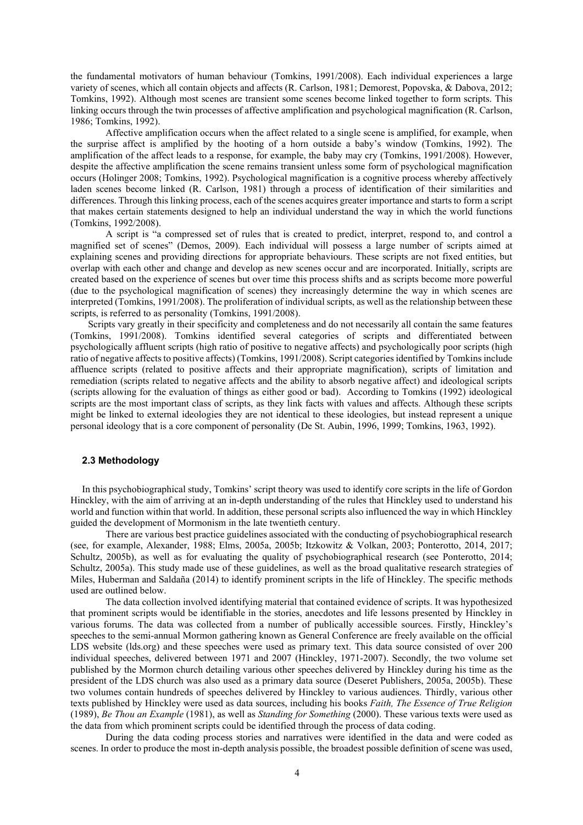the fundamental motivators of human behaviour (Tomkins, 1991/2008). Each individual experiences a large variety of scenes, which all contain objects and affects (R. Carlson, 1981; Demorest, Popovska, & Dabova, 2012; Tomkins, 1992). Although most scenes are transient some scenes become linked together to form scripts. This linking occurs through the twin processes of affective amplification and psychological magnification (R. Carlson, 1986; Tomkins, 1992).

Affective amplification occurs when the affect related to a single scene is amplified, for example, when the surprise affect is amplified by the hooting of a horn outside a baby's window (Tomkins, 1992). The amplification of the affect leads to a response, for example, the baby may cry (Tomkins, 1991/2008). However, despite the affective amplification the scene remains transient unless some form of psychological magnification occurs (Holinger 2008; Tomkins, 1992). Psychological magnification is a cognitive process whereby affectively laden scenes become linked (R. Carlson, 1981) through a process of identification of their similarities and differences. Through this linking process, each of the scenes acquires greater importance and starts to form a script that makes certain statements designed to help an individual understand the way in which the world functions (Tomkins, 1992/2008).

A script is "a compressed set of rules that is created to predict, interpret, respond to, and control a magnified set of scenes" (Demos, 2009). Each individual will possess a large number of scripts aimed at explaining scenes and providing directions for appropriate behaviours. These scripts are not fixed entities, but overlap with each other and change and develop as new scenes occur and are incorporated. Initially, scripts are created based on the experience of scenes but over time this process shifts and as scripts become more powerful (due to the psychological magnification of scenes) they increasingly determine the way in which scenes are interpreted (Tomkins, 1991/2008). The proliferation of individual scripts, as well as the relationship between these scripts, is referred to as personality (Tomkins, 1991/2008).

Scripts vary greatly in their specificity and completeness and do not necessarily all contain the same features (Tomkins, 1991/2008). Tomkins identified several categories of scripts and differentiated between psychologically affluent scripts (high ratio of positive to negative affects) and psychologically poor scripts (high ratio of negative affects to positive affects) (Tomkins, 1991/2008). Script categories identified by Tomkins include affluence scripts (related to positive affects and their appropriate magnification), scripts of limitation and remediation (scripts related to negative affects and the ability to absorb negative affect) and ideological scripts (scripts allowing for the evaluation of things as either good or bad). According to Tomkins (1992) ideological scripts are the most important class of scripts, as they link facts with values and affects. Although these scripts might be linked to external ideologies they are not identical to these ideologies, but instead represent a unique personal ideology that is a core component of personality (De St. Aubin, 1996, 1999; Tomkins, 1963, 1992).

#### **2.3 Methodology**

In this psychobiographical study, Tomkins' script theory was used to identify core scripts in the life of Gordon Hinckley, with the aim of arriving at an in-depth understanding of the rules that Hinckley used to understand his world and function within that world. In addition, these personal scripts also influenced the way in which Hinckley guided the development of Mormonism in the late twentieth century.

There are various best practice guidelines associated with the conducting of psychobiographical research (see, for example, Alexander, 1988; Elms, 2005a, 2005b; Itzkowitz & Volkan, 2003; Ponterotto, 2014, 2017; Schultz, 2005b), as well as for evaluating the quality of psychobiographical research (see Ponterotto, 2014; Schultz, 2005a). This study made use of these guidelines, as well as the broad qualitative research strategies of Miles, Huberman and Saldaña (2014) to identify prominent scripts in the life of Hinckley. The specific methods used are outlined below.

The data collection involved identifying material that contained evidence of scripts. It was hypothesized that prominent scripts would be identifiable in the stories, anecdotes and life lessons presented by Hinckley in various forums. The data was collected from a number of publically accessible sources. Firstly, Hinckley's speeches to the semi-annual Mormon gathering known as General Conference are freely available on the official LDS website (lds.org) and these speeches were used as primary text. This data source consisted of over 200 individual speeches, delivered between 1971 and 2007 (Hinckley, 1971-2007). Secondly, the two volume set published by the Mormon church detailing various other speeches delivered by Hinckley during his time as the president of the LDS church was also used as a primary data source (Deseret Publishers, 2005a, 2005b). These two volumes contain hundreds of speeches delivered by Hinckley to various audiences. Thirdly, various other texts published by Hinckley were used as data sources, including his books *Faith, The Essence of True Religion*  (1989), *Be Thou an Example* (1981), as well as *Standing for Something* (2000). These various texts were used as the data from which prominent scripts could be identified through the process of data coding.

During the data coding process stories and narratives were identified in the data and were coded as scenes. In order to produce the most in-depth analysis possible, the broadest possible definition of scene was used,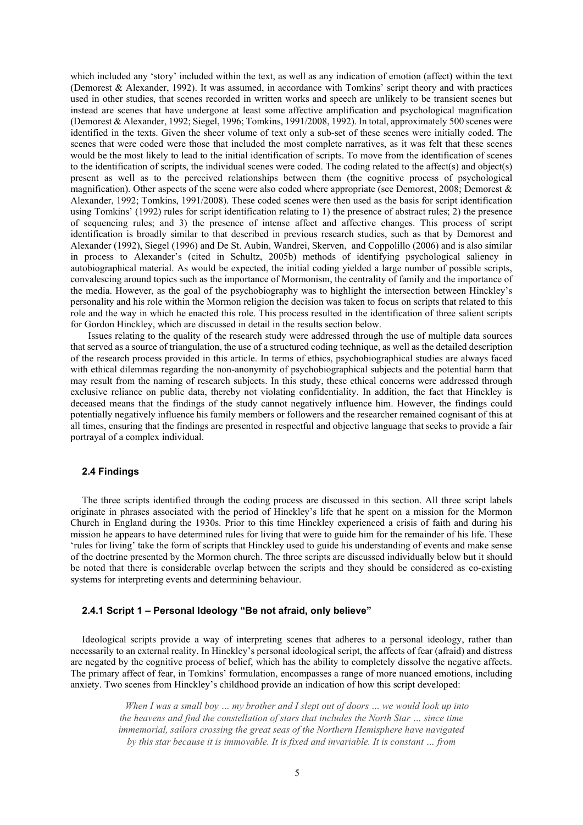which included any 'story' included within the text, as well as any indication of emotion (affect) within the text (Demorest & Alexander, 1992). It was assumed, in accordance with Tomkins' script theory and with practices used in other studies, that scenes recorded in written works and speech are unlikely to be transient scenes but instead are scenes that have undergone at least some affective amplification and psychological magnification (Demorest & Alexander, 1992; Siegel, 1996; Tomkins, 1991/2008, 1992). In total, approximately 500 scenes were identified in the texts. Given the sheer volume of text only a sub-set of these scenes were initially coded. The scenes that were coded were those that included the most complete narratives, as it was felt that these scenes would be the most likely to lead to the initial identification of scripts. To move from the identification of scenes to the identification of scripts, the individual scenes were coded. The coding related to the affect(s) and object(s) present as well as to the perceived relationships between them (the cognitive process of psychological magnification). Other aspects of the scene were also coded where appropriate (see Demorest, 2008; Demorest & Alexander, 1992; Tomkins, 1991/2008). These coded scenes were then used as the basis for script identification using Tomkins' (1992) rules for script identification relating to 1) the presence of abstract rules; 2) the presence of sequencing rules; and 3) the presence of intense affect and affective changes. This process of script identification is broadly similar to that described in previous research studies, such as that by Demorest and Alexander (1992), Siegel (1996) and De St. Aubin, Wandrei, Skerven, and Coppolillo (2006) and is also similar in process to Alexander's (cited in Schultz, 2005b) methods of identifying psychological saliency in autobiographical material. As would be expected, the initial coding yielded a large number of possible scripts, convalescing around topics such as the importance of Mormonism, the centrality of family and the importance of the media. However, as the goal of the psychobiography was to highlight the intersection between Hinckley's personality and his role within the Mormon religion the decision was taken to focus on scripts that related to this role and the way in which he enacted this role. This process resulted in the identification of three salient scripts for Gordon Hinckley, which are discussed in detail in the results section below.

Issues relating to the quality of the research study were addressed through the use of multiple data sources that served as a source of triangulation, the use of a structured coding technique, as well as the detailed description of the research process provided in this article. In terms of ethics, psychobiographical studies are always faced with ethical dilemmas regarding the non-anonymity of psychobiographical subjects and the potential harm that may result from the naming of research subjects. In this study, these ethical concerns were addressed through exclusive reliance on public data, thereby not violating confidentiality. In addition, the fact that Hinckley is deceased means that the findings of the study cannot negatively influence him. However, the findings could potentially negatively influence his family members or followers and the researcher remained cognisant of this at all times, ensuring that the findings are presented in respectful and objective language that seeks to provide a fair portrayal of a complex individual.

#### **2.4 Findings**

The three scripts identified through the coding process are discussed in this section. All three script labels originate in phrases associated with the period of Hinckley's life that he spent on a mission for the Mormon Church in England during the 1930s. Prior to this time Hinckley experienced a crisis of faith and during his mission he appears to have determined rules for living that were to guide him for the remainder of his life. These 'rules for living' take the form of scripts that Hinckley used to guide his understanding of events and make sense of the doctrine presented by the Mormon church. The three scripts are discussed individually below but it should be noted that there is considerable overlap between the scripts and they should be considered as co-existing systems for interpreting events and determining behaviour.

#### **2.4.1 Script 1 – Personal Ideology "Be not afraid, only believe"**

Ideological scripts provide a way of interpreting scenes that adheres to a personal ideology, rather than necessarily to an external reality. In Hinckley's personal ideological script, the affects of fear (afraid) and distress are negated by the cognitive process of belief, which has the ability to completely dissolve the negative affects. The primary affect of fear, in Tomkins' formulation, encompasses a range of more nuanced emotions, including anxiety. Two scenes from Hinckley's childhood provide an indication of how this script developed:

> *When I was a small boy … my brother and I slept out of doors … we would look up into the heavens and find the constellation of stars that includes the North Star … since time immemorial, sailors crossing the great seas of the Northern Hemisphere have navigated by this star because it is immovable. It is fixed and invariable. It is constant … from*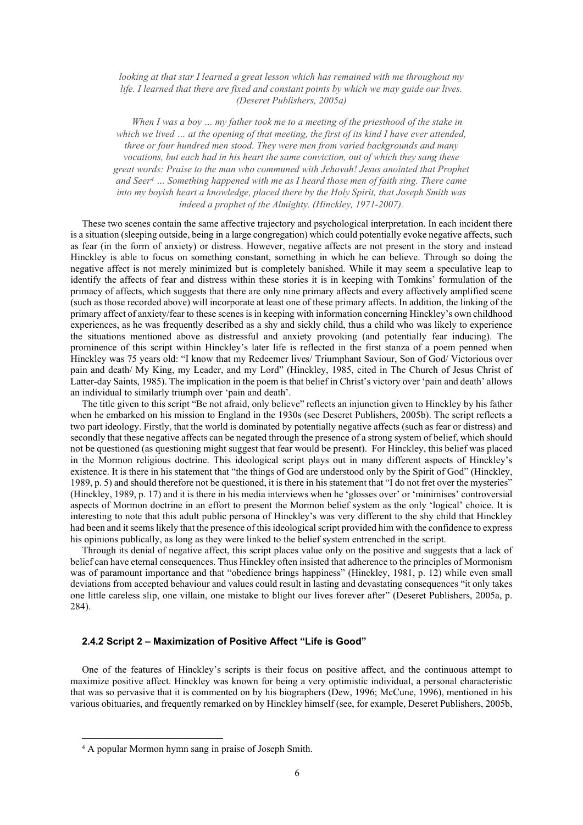*looking at that star I learned a great lesson which has remained with me throughout my life. I learned that there are fixed and constant points by which we may guide our lives. (Deseret Publishers, 2005a)*

*When I was a boy … my father took me to a meeting of the priesthood of the stake in which we lived … at the opening of that meeting, the first of its kind I have ever attended, three or four hundred men stood. They were men from varied backgrounds and many vocations, but each had in his heart the same conviction, out of which they sang these great words: Praise to the man who communed with Jehovah! Jesus anointed that Prophet and Seer[4](#page-5-0) … Something happened with me as I heard those men of faith sing. There came into my boyish heart a knowledge, placed there by the Holy Spirit, that Joseph Smith was indeed a prophet of the Almighty. (Hinckley, 1971-2007).*

These two scenes contain the same affective trajectory and psychological interpretation. In each incident there is a situation (sleeping outside, being in a large congregation) which could potentially evoke negative affects, such as fear (in the form of anxiety) or distress. However, negative affects are not present in the story and instead Hinckley is able to focus on something constant, something in which he can believe. Through so doing the negative affect is not merely minimized but is completely banished. While it may seem a speculative leap to identify the affects of fear and distress within these stories it is in keeping with Tomkins' formulation of the primacy of affects, which suggests that there are only nine primary affects and every affectively amplified scene (such as those recorded above) will incorporate at least one of these primary affects. In addition, the linking of the primary affect of anxiety/fear to these scenes is in keeping with information concerning Hinckley's own childhood experiences, as he was frequently described as a shy and sickly child, thus a child who was likely to experience the situations mentioned above as distressful and anxiety provoking (and potentially fear inducing). The prominence of this script within Hinckley's later life is reflected in the first stanza of a poem penned when Hinckley was 75 years old: "I know that my Redeemer lives/ Triumphant Saviour, Son of God/ Victorious over pain and death/ My King, my Leader, and my Lord" (Hinckley, 1985, cited in The Church of Jesus Christ of Latter-day Saints, 1985). The implication in the poem is that belief in Christ's victory over 'pain and death' allows an individual to similarly triumph over 'pain and death'.

The title given to this script "Be not afraid, only believe" reflects an injunction given to Hinckley by his father when he embarked on his mission to England in the 1930s (see Deseret Publishers, 2005b). The script reflects a two part ideology. Firstly, that the world is dominated by potentially negative affects (such as fear or distress) and secondly that these negative affects can be negated through the presence of a strong system of belief, which should not be questioned (as questioning might suggest that fear would be present). For Hinckley, this belief was placed in the Mormon religious doctrine. This ideological script plays out in many different aspects of Hinckley's existence. It is there in his statement that "the things of God are understood only by the Spirit of God" (Hinckley, 1989, p. 5) and should therefore not be questioned, it is there in his statement that "I do not fret over the mysteries" (Hinckley, 1989, p. 17) and it is there in his media interviews when he 'glosses over' or 'minimises' controversial aspects of Mormon doctrine in an effort to present the Mormon belief system as the only 'logical' choice. It is interesting to note that this adult public persona of Hinckley's was very different to the shy child that Hinckley had been and it seems likely that the presence of this ideological script provided him with the confidence to express his opinions publically, as long as they were linked to the belief system entrenched in the script.

Through its denial of negative affect, this script places value only on the positive and suggests that a lack of belief can have eternal consequences. Thus Hinckley often insisted that adherence to the principles of Mormonism was of paramount importance and that "obedience brings happiness" (Hinckley, 1981, p. 12) while even small deviations from accepted behaviour and values could result in lasting and devastating consequences "it only takes one little careless slip, one villain, one mistake to blight our lives forever after" (Deseret Publishers, 2005a, p. 284).

#### **2.4.2 Script 2 – Maximization of Positive Affect "Life is Good"**

One of the features of Hinckley's scripts is their focus on positive affect, and the continuous attempt to maximize positive affect. Hinckley was known for being a very optimistic individual, a personal characteristic that was so pervasive that it is commented on by his biographers (Dew, 1996; McCune, 1996), mentioned in his various obituaries, and frequently remarked on by Hinckley himself (see, for example, Deseret Publishers, 2005b,

<span id="page-5-0"></span><sup>4</sup> A popular Mormon hymn sang in praise of Joseph Smith.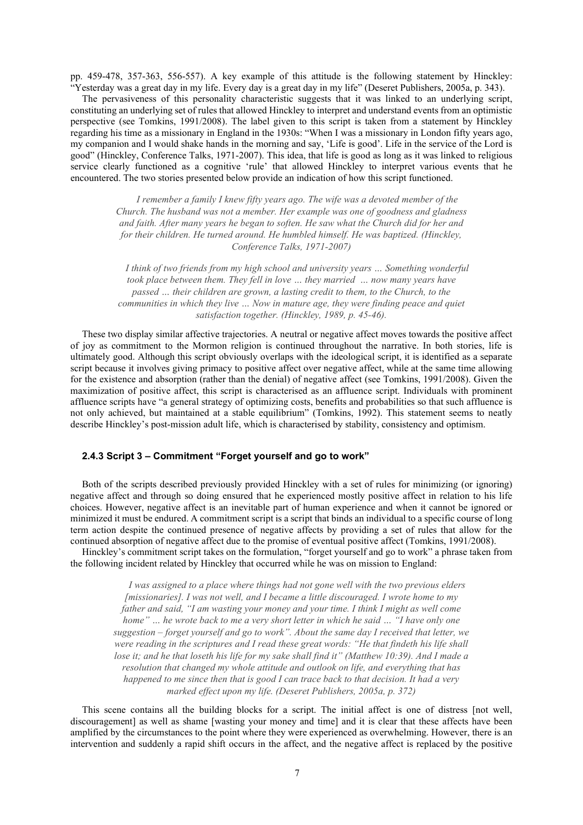pp. 459-478, 357-363, 556-557). A key example of this attitude is the following statement by Hinckley: "Yesterday was a great day in my life. Every day is a great day in my life" (Deseret Publishers, 2005a, p. 343).

The pervasiveness of this personality characteristic suggests that it was linked to an underlying script, constituting an underlying set of rules that allowed Hinckley to interpret and understand events from an optimistic perspective (see Tomkins, 1991/2008). The label given to this script is taken from a statement by Hinckley regarding his time as a missionary in England in the 1930s: "When I was a missionary in London fifty years ago, my companion and I would shake hands in the morning and say, 'Life is good'. Life in the service of the Lord is good" (Hinckley, Conference Talks, 1971-2007). This idea, that life is good as long as it was linked to religious service clearly functioned as a cognitive 'rule' that allowed Hinckley to interpret various events that he encountered. The two stories presented below provide an indication of how this script functioned.

> *I remember a family I knew fifty years ago. The wife was a devoted member of the Church. The husband was not a member. Her example was one of goodness and gladness and faith. After many years he began to soften. He saw what the Church did for her and for their children. He turned around. He humbled himself. He was baptized. (Hinckley, Conference Talks, 1971-2007)*

> *I think of two friends from my high school and university years … Something wonderful took place between them. They fell in love … they married … now many years have passed … their children are grown, a lasting credit to them, to the Church, to the communities in which they live … Now in mature age, they were finding peace and quiet satisfaction together. (Hinckley, 1989, p. 45-46).*

These two display similar affective trajectories. A neutral or negative affect moves towards the positive affect of joy as commitment to the Mormon religion is continued throughout the narrative. In both stories, life is ultimately good. Although this script obviously overlaps with the ideological script, it is identified as a separate script because it involves giving primacy to positive affect over negative affect, while at the same time allowing for the existence and absorption (rather than the denial) of negative affect (see Tomkins, 1991/2008). Given the maximization of positive affect, this script is characterised as an affluence script. Individuals with prominent affluence scripts have "a general strategy of optimizing costs, benefits and probabilities so that such affluence is not only achieved, but maintained at a stable equilibrium" (Tomkins, 1992). This statement seems to neatly describe Hinckley's post-mission adult life, which is characterised by stability, consistency and optimism.

#### **2.4.3 Script 3 – Commitment "Forget yourself and go to work"**

Both of the scripts described previously provided Hinckley with a set of rules for minimizing (or ignoring) negative affect and through so doing ensured that he experienced mostly positive affect in relation to his life choices. However, negative affect is an inevitable part of human experience and when it cannot be ignored or minimized it must be endured. A commitment script is a script that binds an individual to a specific course of long term action despite the continued presence of negative affects by providing a set of rules that allow for the continued absorption of negative affect due to the promise of eventual positive affect (Tomkins, 1991/2008).

Hinckley's commitment script takes on the formulation, "forget yourself and go to work" a phrase taken from the following incident related by Hinckley that occurred while he was on mission to England:

*I was assigned to a place where things had not gone well with the two previous elders [missionaries]. I was not well, and I became a little discouraged. I wrote home to my father and said, "I am wasting your money and your time. I think I might as well come home" … he wrote back to me a very short letter in which he said … "I have only one suggestion – forget yourself and go to work". About the same day I received that letter, we were reading in the scriptures and I read these great words: "He that findeth his life shall lose it; and he that loseth his life for my sake shall find it" (Matthew 10:39). And I made a resolution that changed my whole attitude and outlook on life, and everything that has happened to me since then that is good I can trace back to that decision. It had a very marked effect upon my life. (Deseret Publishers, 2005a, p. 372)*

This scene contains all the building blocks for a script. The initial affect is one of distress [not well, discouragement] as well as shame [wasting your money and time] and it is clear that these affects have been amplified by the circumstances to the point where they were experienced as overwhelming. However, there is an intervention and suddenly a rapid shift occurs in the affect, and the negative affect is replaced by the positive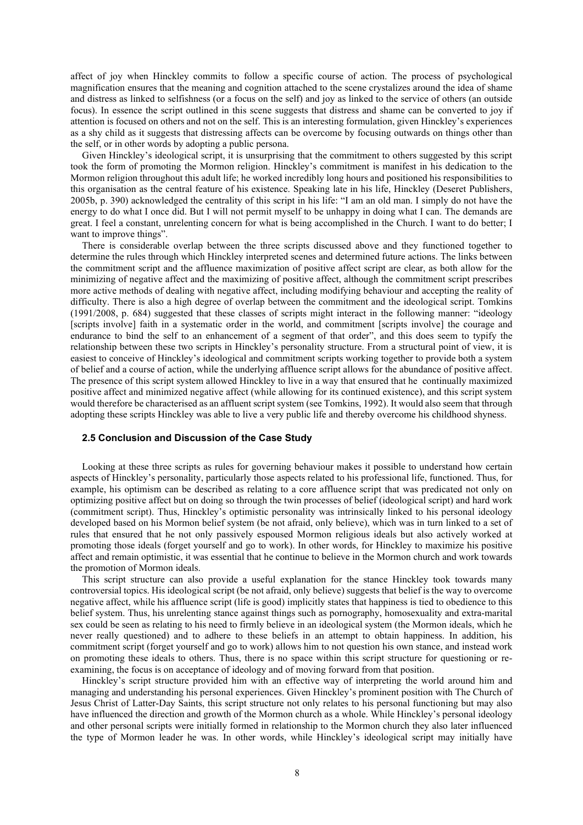affect of joy when Hinckley commits to follow a specific course of action. The process of psychological magnification ensures that the meaning and cognition attached to the scene crystalizes around the idea of shame and distress as linked to selfishness (or a focus on the self) and joy as linked to the service of others (an outside focus). In essence the script outlined in this scene suggests that distress and shame can be converted to joy if attention is focused on others and not on the self. This is an interesting formulation, given Hinckley's experiences as a shy child as it suggests that distressing affects can be overcome by focusing outwards on things other than the self, or in other words by adopting a public persona.

Given Hinckley's ideological script, it is unsurprising that the commitment to others suggested by this script took the form of promoting the Mormon religion. Hinckley's commitment is manifest in his dedication to the Mormon religion throughout this adult life; he worked incredibly long hours and positioned his responsibilities to this organisation as the central feature of his existence. Speaking late in his life, Hinckley (Deseret Publishers, 2005b, p. 390) acknowledged the centrality of this script in his life: "I am an old man. I simply do not have the energy to do what I once did. But I will not permit myself to be unhappy in doing what I can. The demands are great. I feel a constant, unrelenting concern for what is being accomplished in the Church. I want to do better; I want to improve things".

There is considerable overlap between the three scripts discussed above and they functioned together to determine the rules through which Hinckley interpreted scenes and determined future actions. The links between the commitment script and the affluence maximization of positive affect script are clear, as both allow for the minimizing of negative affect and the maximizing of positive affect, although the commitment script prescribes more active methods of dealing with negative affect, including modifying behaviour and accepting the reality of difficulty. There is also a high degree of overlap between the commitment and the ideological script. Tomkins (1991/2008, p. 684) suggested that these classes of scripts might interact in the following manner: "ideology [scripts involve] faith in a systematic order in the world, and commitment [scripts involve] the courage and endurance to bind the self to an enhancement of a segment of that order", and this does seem to typify the relationship between these two scripts in Hinckley's personality structure. From a structural point of view, it is easiest to conceive of Hinckley's ideological and commitment scripts working together to provide both a system of belief and a course of action, while the underlying affluence script allows for the abundance of positive affect. The presence of this script system allowed Hinckley to live in a way that ensured that he continually maximized positive affect and minimized negative affect (while allowing for its continued existence), and this script system would therefore be characterised as an affluent script system (see Tomkins, 1992). It would also seem that through adopting these scripts Hinckley was able to live a very public life and thereby overcome his childhood shyness.

#### **2.5 Conclusion and Discussion of the Case Study**

Looking at these three scripts as rules for governing behaviour makes it possible to understand how certain aspects of Hinckley's personality, particularly those aspects related to his professional life, functioned. Thus, for example, his optimism can be described as relating to a core affluence script that was predicated not only on optimizing positive affect but on doing so through the twin processes of belief (ideological script) and hard work (commitment script). Thus, Hinckley's optimistic personality was intrinsically linked to his personal ideology developed based on his Mormon belief system (be not afraid, only believe), which was in turn linked to a set of rules that ensured that he not only passively espoused Mormon religious ideals but also actively worked at promoting those ideals (forget yourself and go to work). In other words, for Hinckley to maximize his positive affect and remain optimistic, it was essential that he continue to believe in the Mormon church and work towards the promotion of Mormon ideals.

This script structure can also provide a useful explanation for the stance Hinckley took towards many controversial topics. His ideological script (be not afraid, only believe) suggests that belief is the way to overcome negative affect, while his affluence script (life is good) implicitly states that happiness is tied to obedience to this belief system. Thus, his unrelenting stance against things such as pornography, homosexuality and extra-marital sex could be seen as relating to his need to firmly believe in an ideological system (the Mormon ideals, which he never really questioned) and to adhere to these beliefs in an attempt to obtain happiness. In addition, his commitment script (forget yourself and go to work) allows him to not question his own stance, and instead work on promoting these ideals to others. Thus, there is no space within this script structure for questioning or reexamining, the focus is on acceptance of ideology and of moving forward from that position.

Hinckley's script structure provided him with an effective way of interpreting the world around him and managing and understanding his personal experiences. Given Hinckley's prominent position with The Church of Jesus Christ of Latter-Day Saints, this script structure not only relates to his personal functioning but may also have influenced the direction and growth of the Mormon church as a whole. While Hinckley's personal ideology and other personal scripts were initially formed in relationship to the Mormon church they also later influenced the type of Mormon leader he was. In other words, while Hinckley's ideological script may initially have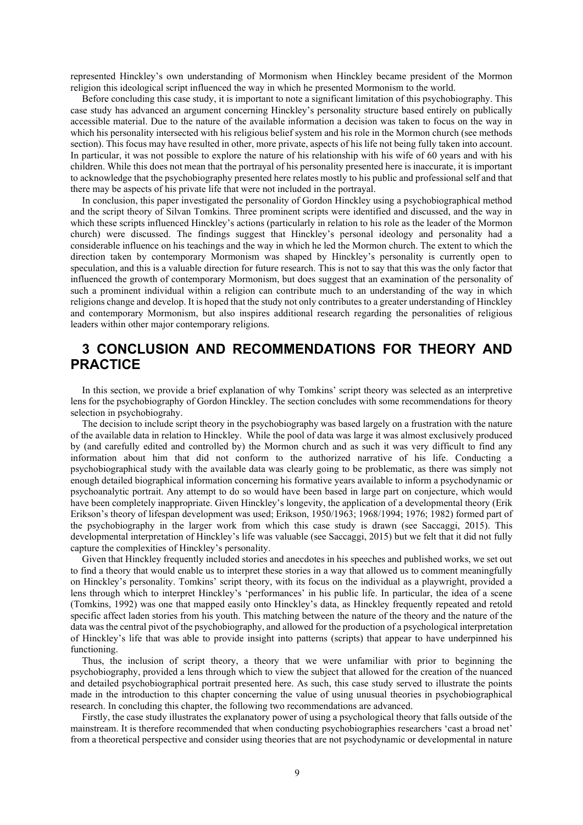represented Hinckley's own understanding of Mormonism when Hinckley became president of the Mormon religion this ideological script influenced the way in which he presented Mormonism to the world.

Before concluding this case study, it is important to note a significant limitation of this psychobiography. This case study has advanced an argument concerning Hinckley's personality structure based entirely on publically accessible material. Due to the nature of the available information a decision was taken to focus on the way in which his personality intersected with his religious belief system and his role in the Mormon church (see methods section). This focus may have resulted in other, more private, aspects of his life not being fully taken into account. In particular, it was not possible to explore the nature of his relationship with his wife of 60 years and with his children. While this does not mean that the portrayal of his personality presented here is inaccurate, it is important to acknowledge that the psychobiography presented here relates mostly to his public and professional self and that there may be aspects of his private life that were not included in the portrayal.

In conclusion, this paper investigated the personality of Gordon Hinckley using a psychobiographical method and the script theory of Silvan Tomkins. Three prominent scripts were identified and discussed, and the way in which these scripts influenced Hinckley's actions (particularly in relation to his role as the leader of the Mormon church) were discussed. The findings suggest that Hinckley's personal ideology and personality had a considerable influence on his teachings and the way in which he led the Mormon church. The extent to which the direction taken by contemporary Mormonism was shaped by Hinckley's personality is currently open to speculation, and this is a valuable direction for future research. This is not to say that this was the only factor that influenced the growth of contemporary Mormonism, but does suggest that an examination of the personality of such a prominent individual within a religion can contribute much to an understanding of the way in which religions change and develop. It is hoped that the study not only contributes to a greater understanding of Hinckley and contemporary Mormonism, but also inspires additional research regarding the personalities of religious leaders within other major contemporary religions.

## **3 CONCLUSION AND RECOMMENDATIONS FOR THEORY AND PRACTICE**

In this section, we provide a brief explanation of why Tomkins' script theory was selected as an interpretive lens for the psychobiography of Gordon Hinckley. The section concludes with some recommendations for theory selection in psychobiograhy.

The decision to include script theory in the psychobiography was based largely on a frustration with the nature of the available data in relation to Hinckley. While the pool of data was large it was almost exclusively produced by (and carefully edited and controlled by) the Mormon church and as such it was very difficult to find any information about him that did not conform to the authorized narrative of his life. Conducting a psychobiographical study with the available data was clearly going to be problematic, as there was simply not enough detailed biographical information concerning his formative years available to inform a psychodynamic or psychoanalytic portrait. Any attempt to do so would have been based in large part on conjecture, which would have been completely inappropriate. Given Hinckley's longevity, the application of a developmental theory (Erik Erikson's theory of lifespan development was used; Erikson, 1950/1963; 1968/1994; 1976; 1982) formed part of the psychobiography in the larger work from which this case study is drawn (see Saccaggi, 2015). This developmental interpretation of Hinckley's life was valuable (see Saccaggi, 2015) but we felt that it did not fully capture the complexities of Hinckley's personality.

Given that Hinckley frequently included stories and anecdotes in his speeches and published works, we set out to find a theory that would enable us to interpret these stories in a way that allowed us to comment meaningfully on Hinckley's personality. Tomkins' script theory, with its focus on the individual as a playwright, provided a lens through which to interpret Hinckley's 'performances' in his public life. In particular, the idea of a scene (Tomkins, 1992) was one that mapped easily onto Hinckley's data, as Hinckley frequently repeated and retold specific affect laden stories from his youth. This matching between the nature of the theory and the nature of the data was the central pivot of the psychobiography, and allowed for the production of a psychological interpretation of Hinckley's life that was able to provide insight into patterns (scripts) that appear to have underpinned his functioning.

Thus, the inclusion of script theory, a theory that we were unfamiliar with prior to beginning the psychobiography, provided a lens through which to view the subject that allowed for the creation of the nuanced and detailed psychobiographical portrait presented here. As such, this case study served to illustrate the points made in the introduction to this chapter concerning the value of using unusual theories in psychobiographical research. In concluding this chapter, the following two recommendations are advanced.

Firstly, the case study illustrates the explanatory power of using a psychological theory that falls outside of the mainstream. It is therefore recommended that when conducting psychobiographies researchers 'cast a broad net' from a theoretical perspective and consider using theories that are not psychodynamic or developmental in nature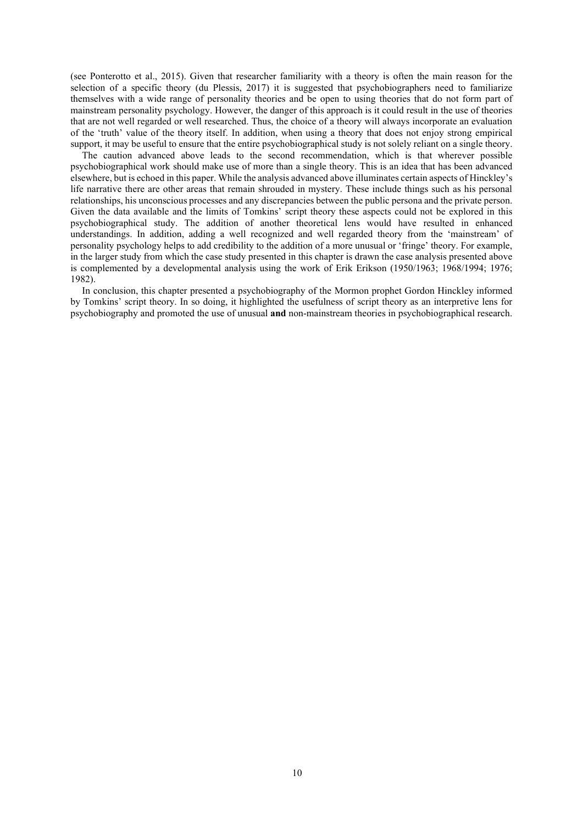(see Ponterotto et al., 2015). Given that researcher familiarity with a theory is often the main reason for the selection of a specific theory (du Plessis, 2017) it is suggested that psychobiographers need to familiarize themselves with a wide range of personality theories and be open to using theories that do not form part of mainstream personality psychology. However, the danger of this approach is it could result in the use of theories that are not well regarded or well researched. Thus, the choice of a theory will always incorporate an evaluation of the 'truth' value of the theory itself. In addition, when using a theory that does not enjoy strong empirical support, it may be useful to ensure that the entire psychobiographical study is not solely reliant on a single theory.

The caution advanced above leads to the second recommendation, which is that wherever possible psychobiographical work should make use of more than a single theory. This is an idea that has been advanced elsewhere, but is echoed in this paper. While the analysis advanced above illuminates certain aspects of Hinckley's life narrative there are other areas that remain shrouded in mystery. These include things such as his personal relationships, his unconscious processes and any discrepancies between the public persona and the private person. Given the data available and the limits of Tomkins' script theory these aspects could not be explored in this psychobiographical study. The addition of another theoretical lens would have resulted in enhanced understandings. In addition, adding a well recognized and well regarded theory from the 'mainstream' of personality psychology helps to add credibility to the addition of a more unusual or 'fringe' theory. For example, in the larger study from which the case study presented in this chapter is drawn the case analysis presented above is complemented by a developmental analysis using the work of Erik Erikson (1950/1963; 1968/1994; 1976; 1982).

In conclusion, this chapter presented a psychobiography of the Mormon prophet Gordon Hinckley informed by Tomkins' script theory. In so doing, it highlighted the usefulness of script theory as an interpretive lens for psychobiography and promoted the use of unusual **and** non-mainstream theories in psychobiographical research.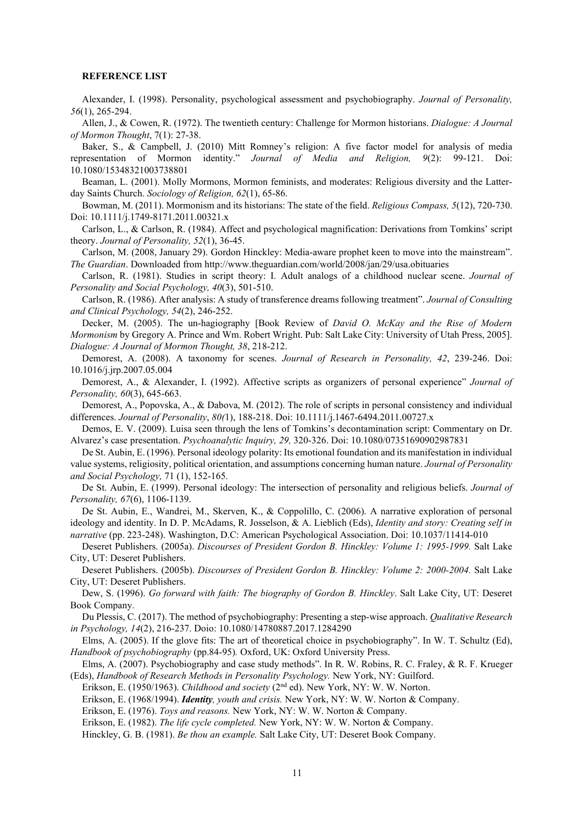#### **REFERENCE LIST**

Alexander, I. (1998). Personality, psychological assessment and psychobiography. *Journal of Personality, 56*(1), 265-294.

Allen, J., & Cowen, R. (1972). The twentieth century: Challenge for Mormon historians. *Dialogue: A Journal of Mormon Thought*, 7(1): 27-38.

Baker, S., & Campbell, J. (2010) Mitt Romney's religion: A five factor model for analysis of media representation of Mormon identity." *Journal of Media and Religion, 9*(2): 99-121. Doi: 10.1080/15348321003738801

Beaman, L. (2001). Molly Mormons, Mormon feminists, and moderates: Religious diversity and the Latterday Saints Church. *Sociology of Religion, 62*(1), 65-86.

Bowman, M. (2011). Mormonism and its historians: The state of the field. *Religious Compass, 5*(12), 720-730. Doi: 10.1111/j.1749-8171.2011.00321.x

Carlson, L., & Carlson, R. (1984). Affect and psychological magnification: Derivations from Tomkins' script theory. *Journal of Personality, 52*(1), 36-45.

Carlson, M. (2008, January 29). Gordon Hinckley: Media-aware prophet keen to move into the mainstream". *The Guardian*. Downloaded from http://www.theguardian.com/world/2008/jan/29/usa.obituaries

Carlson, R. (1981). Studies in script theory: I. Adult analogs of a childhood nuclear scene. *Journal of Personality and Social Psychology, 40*(3), 501-510.

Carlson, R. (1986). After analysis: A study of transference dreams following treatment". *Journal of Consulting and Clinical Psychology, 54*(2), 246-252.

Decker, M. (2005). The un-hagiography [Book Review of *David O. McKay and the Rise of Modern Mormonism* by Gregory A. Prince and Wm. Robert Wright. Pub: Salt Lake City: University of Utah Press, 2005]. *Dialogue: A Journal of Mormon Thought, 38*, 218-212.

Demorest, A. (2008). A taxonomy for scenes. *Journal of Research in Personality, 42*, 239-246. Doi: 10.1016/j.jrp.2007.05.004

Demorest, A., & Alexander, I. (1992). Affective scripts as organizers of personal experience" *Journal of Personality, 60*(3), 645-663.

Demorest, A., Popovska, A., & Dabova, M. (2012). The role of scripts in personal consistency and individual differences. *Journal of Personality*, *80(*1), 188-218. Doi: 10.1111/j.1467-6494.2011.00727.x

Demos, E. V. (2009). Luisa seen through the lens of Tomkins's decontamination script: Commentary on Dr. Alvarez's case presentation. *Psychoanalytic Inquiry, 29,* 320-326. Doi: 10.1080/07351690902987831

De St. Aubin, E. (1996). Personal ideology polarity: Its emotional foundation and its manifestation in individual value systems, religiosity, political orientation, and assumptions concerning human nature. *Journal of Personality and Social Psychology,* 71 (1), 152-165.

De St. Aubin, E. (1999). Personal ideology: The intersection of personality and religious beliefs. *Journal of Personality, 67*(6), 1106-1139.

De St. Aubin, E., Wandrei, M., Skerven, K., & Coppolillo, C. (2006). A narrative exploration of personal ideology and identity. In D. P. McAdams, R. Josselson, & A. Lieblich (Eds), *Identity and story: Creating self in narrative* (pp. 223-248). Washington, D.C: American Psychological Association. Doi: 10.1037/11414-010

Deseret Publishers. (2005a). *Discourses of President Gordon B. Hinckley: Volume 1: 1995-1999.* Salt Lake City, UT: Deseret Publishers.

Deseret Publishers. (2005b). *Discourses of President Gordon B. Hinckley: Volume 2: 2000-2004.* Salt Lake City, UT: Deseret Publishers.

Dew, S. (1996). *Go forward with faith: The biography of Gordon B. Hinckley*. Salt Lake City, UT: Deseret Book Company.

Du Plessis, C. (2017). The method of psychobiography: Presenting a step-wise approach. *Qualitative Research in Psychology, 14*(2), 216-237. Doio: 10.1080/14780887.2017.1284290

Elms, A. (2005). If the glove fits: The art of theoretical choice in psychobiography". In W. T. Schultz (Ed), *Handbook of psychobiography* (pp.84-95)*.* Oxford, UK: Oxford University Press.

Elms, A. (2007). Psychobiography and case study methods". In R. W. Robins, R. C. Fraley, & R. F. Krueger (Eds), *Handbook of Research Methods in Personality Psychology.* New York, NY: Guilford.

Erikson, E. (1950/1963). *Childhood and society* (2nd ed). New York, NY: W. W. Norton.

Erikson, E. (1968/1994). *Identity, youth and crisis.* New York, NY: W. W. Norton & Company.

Erikson, E. (1976). *Toys and reasons.* New York, NY: W. W. Norton & Company.

Erikson, E. (1982). *The life cycle completed.* New York, NY: W. W. Norton & Company.

Hinckley, G. B. (1981). *Be thou an example.* Salt Lake City, UT: Deseret Book Company.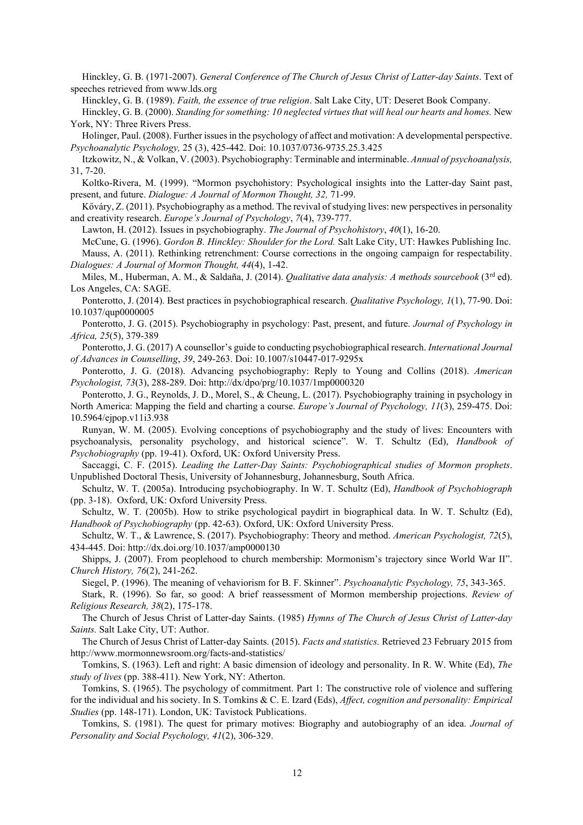Hinckley, G. B. (1971-2007). *General Conference of The Church of Jesus Christ of Latter-day Saints*. Text of speeches retrieved from www.lds.org

Hinckley, G. B. (1989). *Faith, the essence of true religion*. Salt Lake City, UT: Deseret Book Company.

Hinckley, G. B. (2000). *Standing for something: 10 neglected virtues that will heal our hearts and homes*. New York, NY: Three Rivers Press.

Holinger, Paul. (2008). Further issues in the psychology of affect and motivation: A developmental perspective. *Psychoanalytic Psychology,* 25 (3), 425-442. Doi: 10.1037/0736-9735.25.3.425

Itzkowitz, N., & Volkan, V. (2003). Psychobiography: Terminable and interminable. *Annual of psychoanalysis,*  31, 7-20.

Koltko-Rivera, M. (1999). "Mormon psychohistory: Psychological insights into the Latter-day Saint past, present, and future. *Dialogue: A Journal of Mormon Thought, 32,* 71-99.

Kőváry, Z. (2011). Psychobiography as a method. The revival of studying lives: new perspectives in personality and creativity research. *Europe's Journal of Psychology*, *7*(4), 739-777.

Lawton, H. (2012). Issues in psychobiography. *The Journal of Psychohistory*, *40*(1), 16-20.

McCune, G. (1996). *Gordon B. Hinckley: Shoulder for the Lord.* Salt Lake City, UT: Hawkes Publishing Inc. Mauss, A. (2011). Rethinking retrenchment: Course corrections in the ongoing campaign for respectability. *Dialogues: A Journal of Mormon Thought, 44*(4), 1-42.

Miles, M., Huberman, A. M., & Saldaña, J. (2014). *Qualitative data analysis: A methods sourcebook* (3rd ed). Los Angeles, CA: SAGE.

Ponterotto, J. (2014). Best practices in psychobiographical research. *Qualitative Psychology, 1*(1), 77-90. Doi: 10.1037/qup0000005

Ponterotto, J. G. (2015). Psychobiography in psychology: Past, present, and future. *Journal of Psychology in Africa, 25*(5), 379-389

Ponterotto, J. G. (2017) A counsellor's guide to conducting psychobiographical research. *International Journal of Advances in Counselling*, *39*, 249-263. Doi: 10.1007/s10447-017-9295x

Ponterotto, J. G. (2018). Advancing psychobiography: Reply to Young and Collins (2018). *American Psychologist, 73*(3), 288-289. Doi: http://dx/dpo/prg/10.1037/1mp0000320

Ponterotto, J. G., Reynolds, J. D., Morel, S., & Cheung, L. (2017). Psychobiography training in psychology in North America: Mapping the field and charting a course. *Europe's Journal of Psychology, 11*(3), 259-475. Doi: 10.5964/ejpop.v11i3.938

Runyan, W. M. (2005). Evolving conceptions of psychobiography and the study of lives: Encounters with psychoanalysis, personality psychology, and historical science". W. T. Schultz (Ed), *Handbook of Psychobiography* (pp. 19-41). Oxford, UK: Oxford University Press.

Saccaggi, C. F. (2015). *Leading the Latter-Day Saints: Psychobiographical studies of Mormon prophets*. Unpublished Doctoral Thesis, University of Johannesburg, Johannesburg, South Africa.

Schultz, W. T. (2005a). Introducing psychobiography. In W. T. Schultz (Ed), *Handbook of Psychobiograph*  (pp. 3-18). Oxford, UK: Oxford University Press.

Schultz, W. T. (2005b). How to strike psychological paydirt in biographical data. In W. T. Schultz (Ed), *Handbook of Psychobiography* (pp. 42-63). Oxford, UK: Oxford University Press.

Schultz, W. T., & Lawrence, S. (2017). Psychobiography: Theory and method. *American Psychologist, 72*(5), 434-445. Doi: http://dx.doi.org/10.1037/amp0000130

Shipps, J. (2007). From peoplehood to church membership: Mormonism's trajectory since World War II". *Church History, 76*(2), 241-262.

Siegel, P. (1996). The meaning of vehaviorism for B. F. Skinner". *Psychoanalytic Psychology, 75*, 343-365.

Stark, R. (1996). So far, so good: A brief reassessment of Mormon membership projections. *Review of Religious Research, 38*(2), 175-178.

The Church of Jesus Christ of Latter-day Saints. (1985) *Hymns of The Church of Jesus Christ of Latter-day Saints.* Salt Lake City, UT: Author.

The Church of Jesus Christ of Latter-day Saints. (2015). *Facts and statistics.* Retrieved 23 February 2015 from http://www.mormonnewsroom.org/facts-and-statistics/

Tomkins, S. (1963). Left and right: A basic dimension of ideology and personality. In R. W. White (Ed), *The study of lives* (pp. 388-411). New York, NY: Atherton.

Tomkins, S. (1965). The psychology of commitment. Part 1: The constructive role of violence and suffering for the individual and his society. In S. Tomkins & C. E. Izard (Eds), *Affect, cognition and personality: Empirical Studies* (pp. 148-171). London, UK: Tavistock Publications.

Tomkins, S. (1981). The quest for primary motives: Biography and autobiography of an idea. *Journal of Personality and Social Psychology, 41*(2), 306-329.